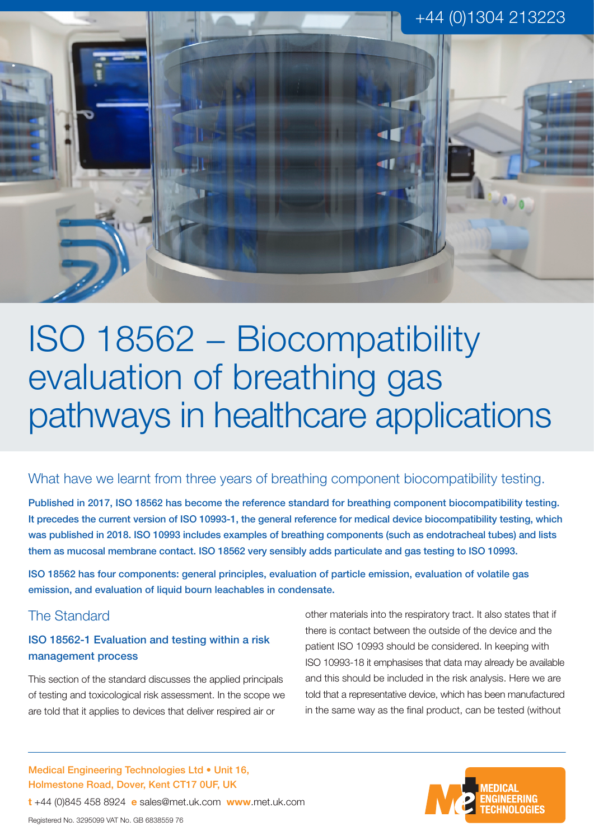

ISO 18562 − Biocompatibility evaluation of breathing gas pathways in healthcare applications

## What have we learnt from three years of breathing component biocompatibility testing.

Published in 2017, ISO 18562 has become the reference standard for breathing component biocompatibility testing. It precedes the current version of ISO 10993-1, the general reference for medical device biocompatibility testing, which was published in 2018. ISO 10993 includes examples of breathing components (such as endotracheal tubes) and lists them as mucosal membrane contact. ISO 18562 very sensibly adds particulate and gas testing to ISO 10993.

ISO 18562 has four components: general principles, evaluation of particle emission, evaluation of volatile gas emission, and evaluation of liquid bourn leachables in condensate.

# The Standard

#### ISO 18562-1 Evaluation and testing within a risk management process

This section of the standard discusses the applied principals of testing and toxicological risk assessment. In the scope we are told that it applies to devices that deliver respired air or

Medical Engineering Technologies Ltd • Unit 16, Holmestone Road, Dover, Kent CT17 0UF, UK

**t** +44 (0)845 458 8924 **e** sales@met.uk.com **www**.met.uk.com

other materials into the respiratory tract. It also states that if there is contact between the outside of the device and the patient ISO 10993 should be considered. In keeping with ISO 10993-18 it emphasises that data may already be available and this should be included in the risk analysis. Here we are told that a representative device, which has been manufactured in the same way as the final product, can be tested (without

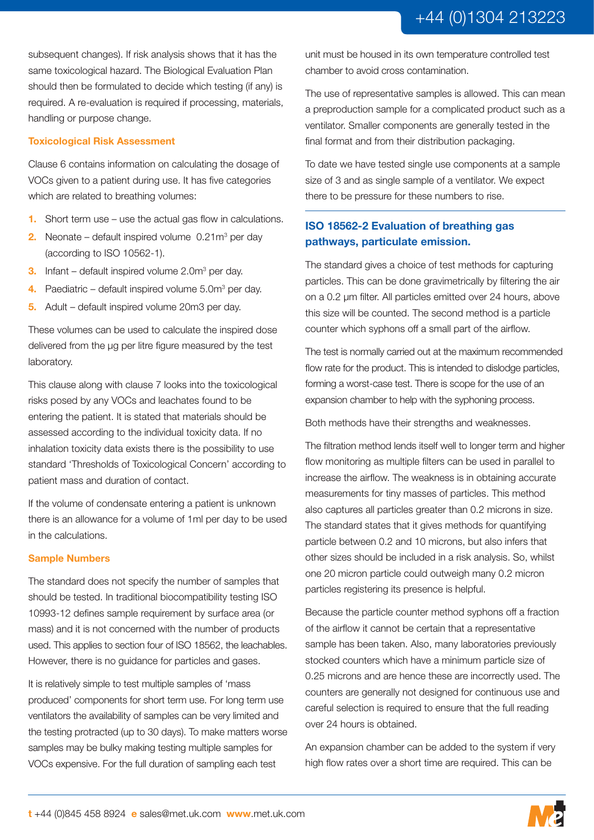subsequent changes). If risk analysis shows that it has the same toxicological hazard. The Biological Evaluation Plan should then be formulated to decide which testing (if any) is required. A re-evaluation is required if processing, materials, handling or purpose change.

#### **Toxicological Risk Assessment**

Clause 6 contains information on calculating the dosage of VOCs given to a patient during use. It has five categories which are related to breathing volumes:

- **1.** Short term use use the actual gas flow in calculations.
- **2.** Neonate default inspired volume 0.21m<sup>3</sup> per day (according to ISO 10562-1).
- **3.** Infant default inspired volume 2.0m<sup>3</sup> per day.
- **4.** Paediatric default inspired volume 5.0m<sup>3</sup> per day.
- **5.** Adult default inspired volume 20m3 per day.

These volumes can be used to calculate the inspired dose delivered from the µg per litre figure measured by the test laboratory.

This clause along with clause 7 looks into the toxicological risks posed by any VOCs and leachates found to be entering the patient. It is stated that materials should be assessed according to the individual toxicity data. If no inhalation toxicity data exists there is the possibility to use standard 'Thresholds of Toxicological Concern' according to patient mass and duration of contact.

If the volume of condensate entering a patient is unknown there is an allowance for a volume of 1ml per day to be used in the calculations.

#### **Sample Numbers**

The standard does not specify the number of samples that should be tested. In traditional biocompatibility testing ISO 10993-12 defines sample requirement by surface area (or mass) and it is not concerned with the number of products used. This applies to section four of ISO 18562, the leachables. However, there is no guidance for particles and gases.

It is relatively simple to test multiple samples of 'mass produced' components for short term use. For long term use ventilators the availability of samples can be very limited and the testing protracted (up to 30 days). To make matters worse samples may be bulky making testing multiple samples for VOCs expensive. For the full duration of sampling each test

unit must be housed in its own temperature controlled test chamber to avoid cross contamination.

The use of representative samples is allowed. This can mean a preproduction sample for a complicated product such as a ventilator. Smaller components are generally tested in the final format and from their distribution packaging.

To date we have tested single use components at a sample size of 3 and as single sample of a ventilator. We expect there to be pressure for these numbers to rise.

## **ISO 18562-2 Evaluation of breathing gas pathways, particulate emission.**

The standard gives a choice of test methods for capturing particles. This can be done gravimetrically by filtering the air on a 0.2 µm filter. All particles emitted over 24 hours, above this size will be counted. The second method is a particle counter which syphons off a small part of the airflow.

The test is normally carried out at the maximum recommended flow rate for the product. This is intended to dislodge particles, forming a worst-case test. There is scope for the use of an expansion chamber to help with the syphoning process.

Both methods have their strengths and weaknesses.

The filtration method lends itself well to longer term and higher flow monitoring as multiple filters can be used in parallel to increase the airflow. The weakness is in obtaining accurate measurements for tiny masses of particles. This method also captures all particles greater than 0.2 microns in size. The standard states that it gives methods for quantifying particle between 0.2 and 10 microns, but also infers that other sizes should be included in a risk analysis. So, whilst one 20 micron particle could outweigh many 0.2 micron particles registering its presence is helpful.

Because the particle counter method syphons off a fraction of the airflow it cannot be certain that a representative sample has been taken. Also, many laboratories previously stocked counters which have a minimum particle size of 0.25 microns and are hence these are incorrectly used. The counters are generally not designed for continuous use and careful selection is required to ensure that the full reading over 24 hours is obtained.

An expansion chamber can be added to the system if very high flow rates over a short time are required. This can be

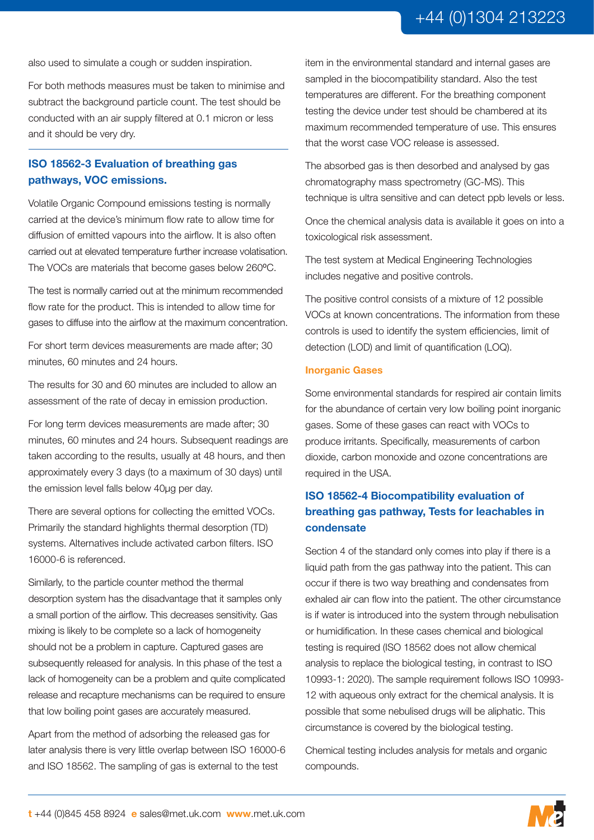also used to simulate a cough or sudden inspiration.

For both methods measures must be taken to minimise and subtract the background particle count. The test should be conducted with an air supply filtered at 0.1 micron or less and it should be very dry.

#### **ISO 18562-3 Evaluation of breathing gas pathways, VOC emissions.**

Volatile Organic Compound emissions testing is normally carried at the device's minimum flow rate to allow time for diffusion of emitted vapours into the airflow. It is also often carried out at elevated temperature further increase volatisation. The VOCs are materials that become gases below 260°C.

The test is normally carried out at the minimum recommended flow rate for the product. This is intended to allow time for gases to diffuse into the airflow at the maximum concentration.

For short term devices measurements are made after; 30 minutes, 60 minutes and 24 hours.

The results for 30 and 60 minutes are included to allow an assessment of the rate of decay in emission production.

For long term devices measurements are made after; 30 minutes, 60 minutes and 24 hours. Subsequent readings are taken according to the results, usually at 48 hours, and then approximately every 3 days (to a maximum of 30 days) until the emission level falls below 40µg per day.

There are several options for collecting the emitted VOCs. Primarily the standard highlights thermal desorption (TD) systems. Alternatives include activated carbon filters. ISO 16000-6 is referenced.

Similarly, to the particle counter method the thermal desorption system has the disadvantage that it samples only a small portion of the airflow. This decreases sensitivity. Gas mixing is likely to be complete so a lack of homogeneity should not be a problem in capture. Captured gases are subsequently released for analysis. In this phase of the test a lack of homogeneity can be a problem and quite complicated release and recapture mechanisms can be required to ensure that low boiling point gases are accurately measured.

Apart from the method of adsorbing the released gas for later analysis there is very little overlap between ISO 16000-6 and ISO 18562. The sampling of gas is external to the test

item in the environmental standard and internal gases are sampled in the biocompatibility standard. Also the test temperatures are different. For the breathing component testing the device under test should be chambered at its maximum recommended temperature of use. This ensures that the worst case VOC release is assessed.

The absorbed gas is then desorbed and analysed by gas chromatography mass spectrometry (GC-MS). This technique is ultra sensitive and can detect ppb levels or less.

Once the chemical analysis data is available it goes on into a toxicological risk assessment.

The test system at Medical Engineering Technologies includes negative and positive controls.

The positive control consists of a mixture of 12 possible VOCs at known concentrations. The information from these controls is used to identify the system efficiencies, limit of detection (LOD) and limit of quantification (LOQ).

#### **Inorganic Gases**

Some environmental standards for respired air contain limits for the abundance of certain very low boiling point inorganic gases. Some of these gases can react with VOCs to produce irritants. Specifically, measurements of carbon dioxide, carbon monoxide and ozone concentrations are required in the USA.

## **ISO 18562-4 Biocompatibility evaluation of breathing gas pathway, Tests for leachables in condensate**

Section 4 of the standard only comes into play if there is a liquid path from the gas pathway into the patient. This can occur if there is two way breathing and condensates from exhaled air can flow into the patient. The other circumstance is if water is introduced into the system through nebulisation or humidification. In these cases chemical and biological testing is required (ISO 18562 does not allow chemical analysis to replace the biological testing, in contrast to ISO 10993-1: 2020). The sample requirement follows ISO 10993- 12 with aqueous only extract for the chemical analysis. It is possible that some nebulised drugs will be aliphatic. This circumstance is covered by the biological testing.

Chemical testing includes analysis for metals and organic compounds.